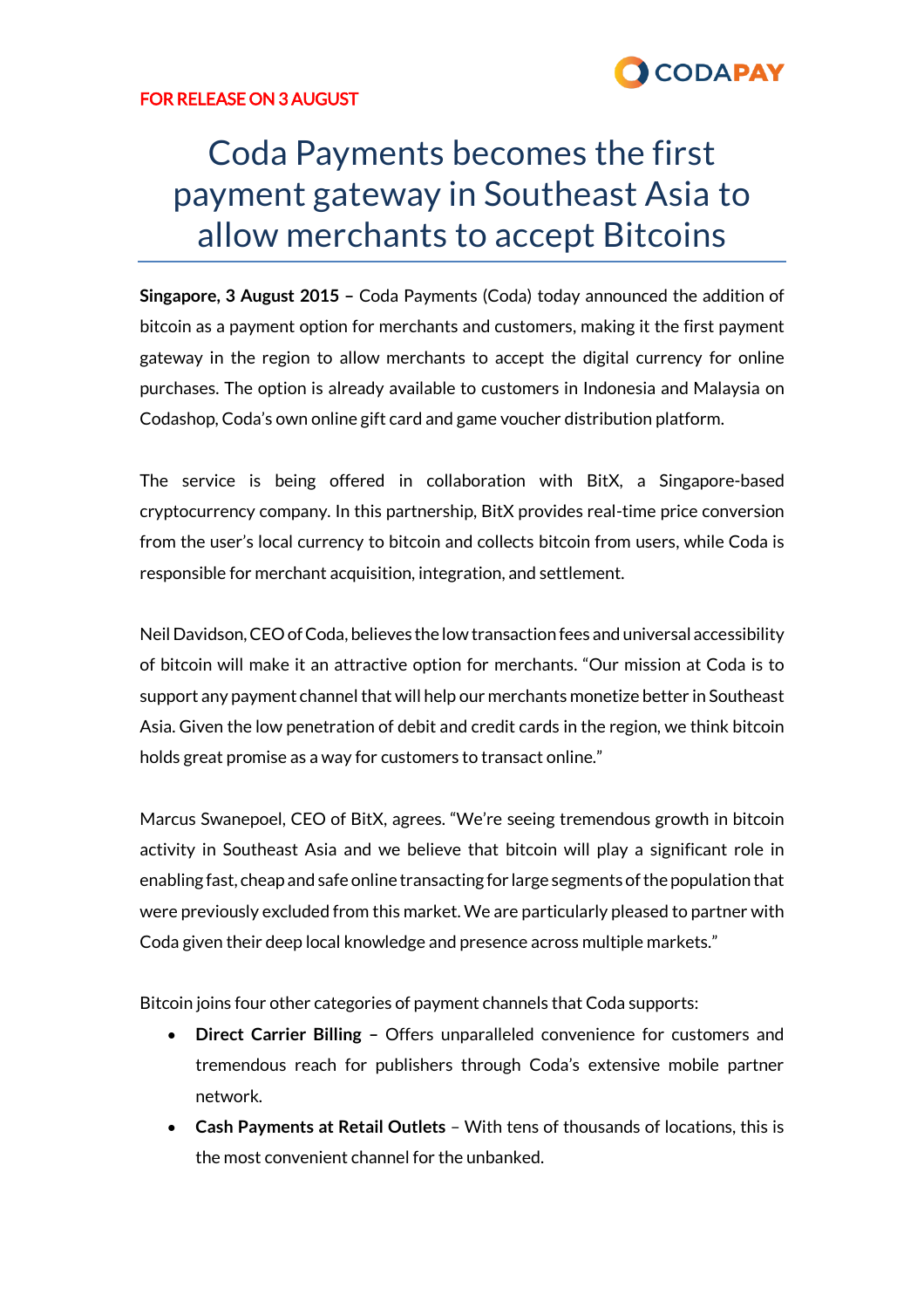

## FOR RELEASE ON 3 AUGUST

# Coda Payments becomes the first payment gateway in Southeast Asia to allow merchants to accept Bitcoins

**Singapore, 3 August 2015 –** Coda Payments (Coda) today announced the addition of bitcoin as a payment option for merchants and customers, making it the first payment gateway in the region to allow merchants to accept the digital currency for online purchases. The option is already available to customers in Indonesia and Malaysia on Codashop, Coda's own online gift card and game voucher distribution platform.

The service is being offered in collaboration with BitX, a Singapore-based cryptocurrency company. In this partnership, BitX provides real-time price conversion from the user's local currency to bitcoin and collects bitcoin from users, while Coda is responsible for merchant acquisition, integration, and settlement.

Neil Davidson, CEO of Coda, believes the low transaction fees and universal accessibility of bitcoin will make it an attractive option for merchants. "Our mission at Coda is to support any payment channel that will help our merchants monetize better in Southeast Asia. Given the low penetration of debit and credit cards in the region, we think bitcoin holds great promise as a way for customers to transact online."

Marcus Swanepoel, CEO of BitX, agrees. "We're seeing tremendous growth in bitcoin activity in Southeast Asia and we believe that bitcoin will play a significant role in enabling fast, cheap and safe online transacting for large segments of the population that were previously excluded from this market. We are particularly pleased to partner with Coda given their deep local knowledge and presence across multiple markets."

Bitcoin joins four other categories of payment channels that Coda supports:

- **Direct Carrier Billing –** Offers unparalleled convenience for customers and tremendous reach for publishers through Coda's extensive mobile partner network.
- **Cash Payments at Retail Outlets**  With tens of thousands of locations, this is the most convenient channel for the unbanked.